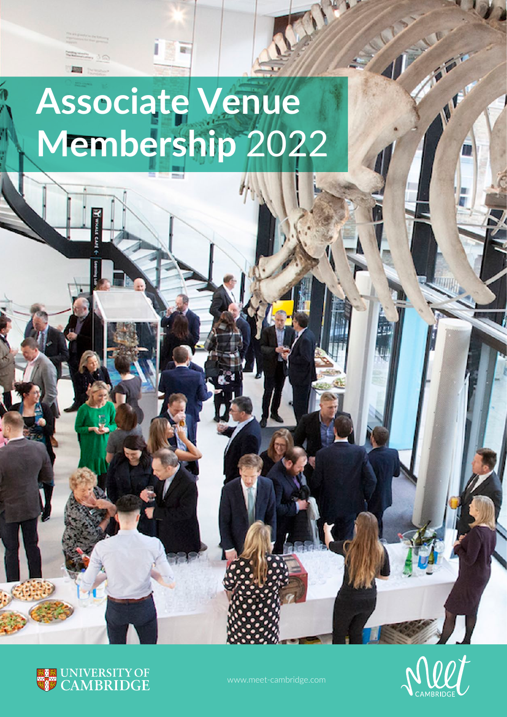# **Associate Venue Membership** 2022





**IFF**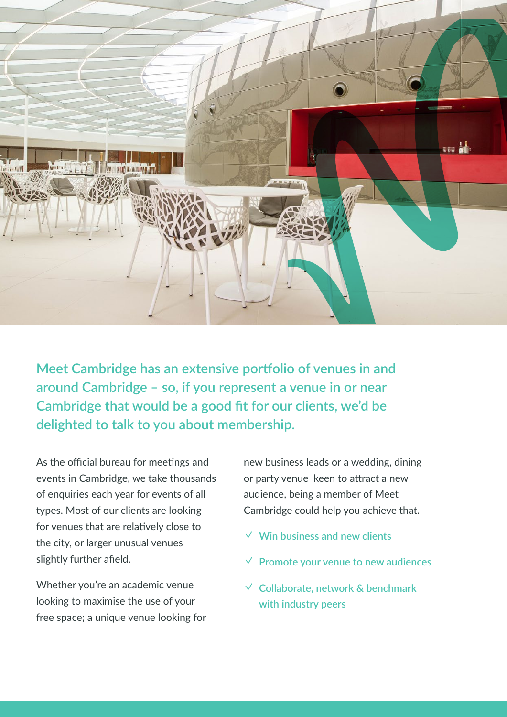

**Meet Cambridge has an extensive portfolio of venues in and around Cambridge – so, if you represent a venue in or near Cambridge that would be a good fit for our clients, we'd be delighted to talk to you about membership.**

As the official bureau for meetings and events in Cambridge, we take thousands of enquiries each year for events of all types. Most of our clients are looking for venues that are relatively close to the city, or larger unusual venues slightly further afield.

Whether you're an academic venue looking to maximise the use of your free space; a unique venue looking for new business leads or a wedding, dining or party venue keen to attract a new audience, being a member of Meet Cambridge could help you achieve that.

- ✓ **Win business and new clients**
- ✓ **Promote your venue to new audiences**
- ✓ **Collaborate, network & benchmark with industry peers**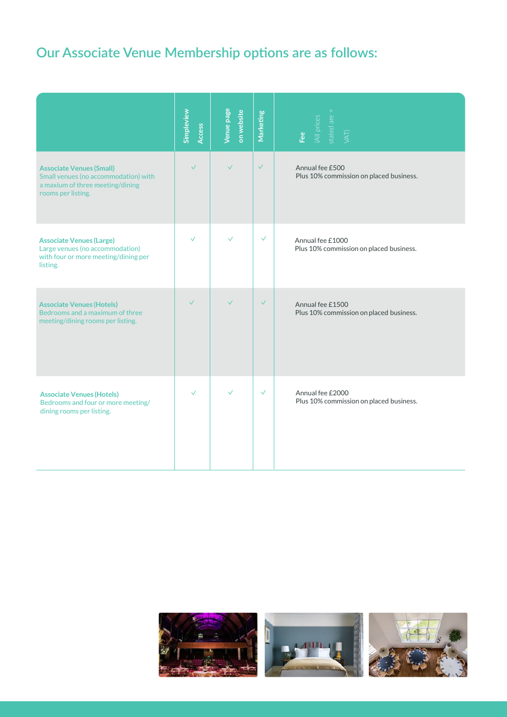### **Our Associate Venue Membership options are as follows:**

|                                                                                                                                   | Simpleview<br><b>Access</b> | Venue page<br>on website | Marketing    | stated are +<br>(All prices<br>VAT)<br>Fee                  |
|-----------------------------------------------------------------------------------------------------------------------------------|-----------------------------|--------------------------|--------------|-------------------------------------------------------------|
| <b>Associate Venues (Small)</b><br>Small venues (no accommodation) with<br>a maxium of three meeting/dining<br>rooms per listing. | $\checkmark$                | $\checkmark$             | $\checkmark$ | Annual fee £500<br>Plus 10% commission on placed business.  |
| <b>Associate Venues (Large)</b><br>Large venues (no accommodation)<br>with four or more meeting/dining per<br>listing.            | $\checkmark$                | $\checkmark$             | $\checkmark$ | Annual fee £1000<br>Plus 10% commission on placed business. |
| <b>Associate Venues (Hotels)</b><br>Bedrooms and a maximum of three<br>meeting/dining rooms per listing.                          | $\checkmark$                | $\checkmark$             | $\checkmark$ | Annual fee £1500<br>Plus 10% commission on placed business. |
| <b>Associate Venues (Hotels)</b><br>Bedrooms and four or more meeting/<br>dining rooms per listing.                               | $\checkmark$                | $\checkmark$             | $\checkmark$ | Annual fee £2000<br>Plus 10% commission on placed business. |